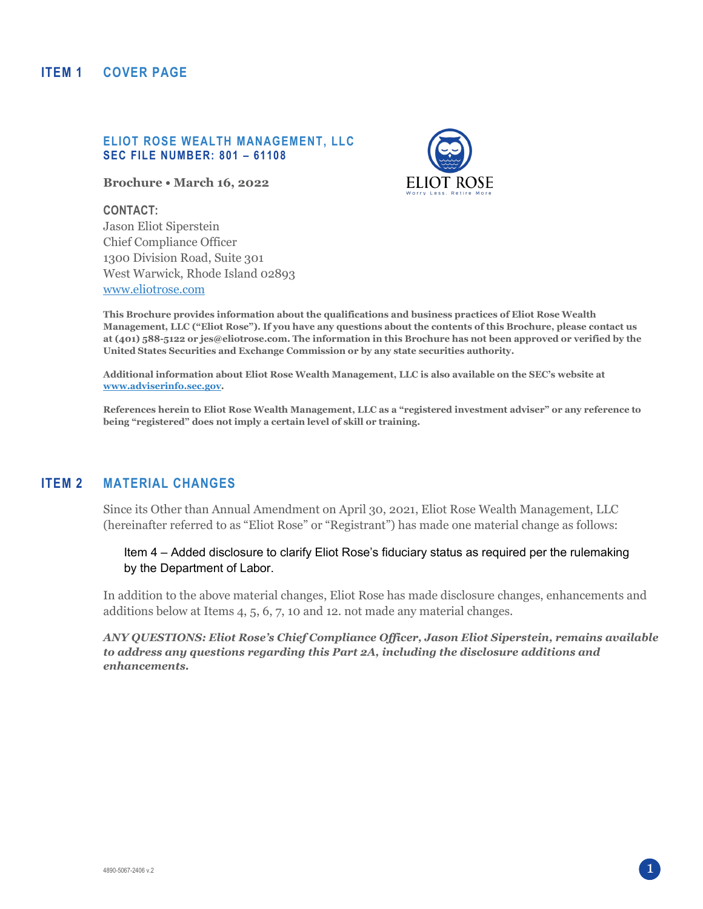### **ITEM 1 COVER PAGE**

#### **ELIOT ROSE WEALTH MANAGEMENT, LLC SEC FILE NUMBER: 801 – 61108**

**Brochure • March 16, 2022** 



**CONTACT:** 

Jason Eliot Siperstein Chief Compliance Officer 1300 Division Road, Suite 301 West Warwick, Rhode Island 02893 [www.eliotrose.com](http://www.eliotrose.com/) 

**This Brochure provides information about the qualifications and business practices of Eliot Rose Wealth Management, LLC ("Eliot Rose"). If you have any questions about the contents of this Brochure, please contact us at (401) 588-5122 or jes@eliotrose.com. The information in this Brochure has not been approved or verified by the United States Securities and Exchange Commission or by any state securities authority.** 

**Additional information about Eliot Rose Wealth Management, LLC is also available on the SEC's website at [www.adviserinfo.sec.gov.](http://www.adviserinfo.sec.gov/)** 

**References herein to Eliot Rose Wealth Management, LLC as a "registered investment adviser" or any reference to being "registered" does not imply a certain level of skill or training.** 

## **ITEM 2 MATERIAL CHANGES**

Since its Other than Annual Amendment on April 30, 2021, Eliot Rose Wealth Management, LLC (hereinafter referred to as "Eliot Rose" or "Registrant") has made one material change as follows:

Item 4 – Added disclosure to clarify Eliot Rose's fiduciary status as required per the rulemaking by the Department of Labor.

In addition to the above material changes, Eliot Rose has made disclosure changes, enhancements and additions below at Items 4, 5, 6, 7, 10 and 12. not made any material changes.

*ANY QUESTIONS: Eliot Rose's Chief Compliance Officer, Jason Eliot Siperstein, remains available to address any questions regarding this Part 2A, including the disclosure additions and enhancements.*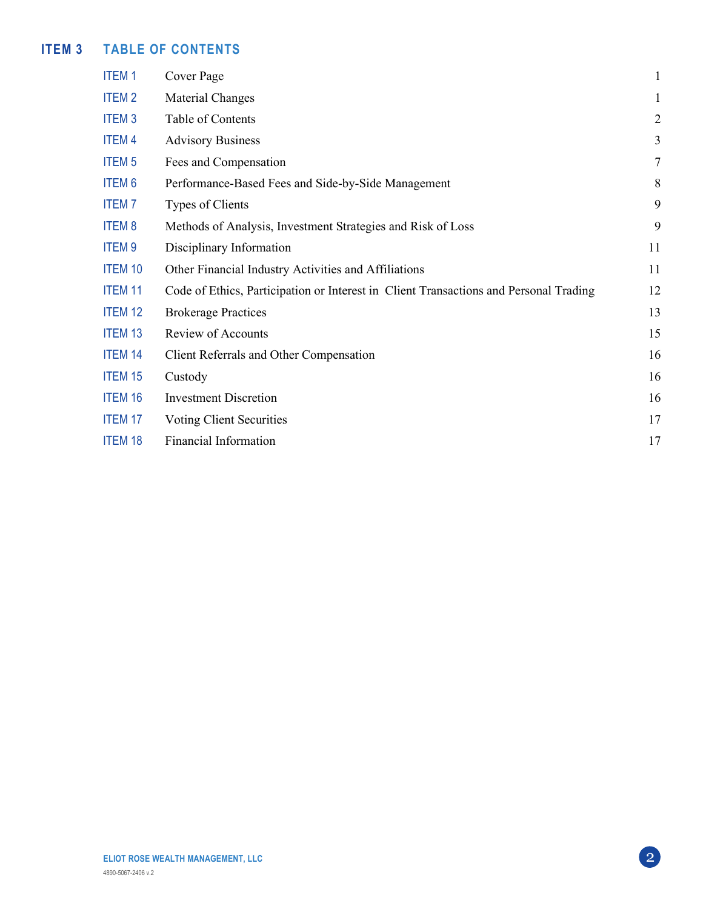# **ITEM 3 TABLE OF CONTENTS**

| <b>ITEM1</b>   | Cover Page                                                                            | $\mathbf{1}$   |
|----------------|---------------------------------------------------------------------------------------|----------------|
| <b>ITEM2</b>   | Material Changes                                                                      | $\mathbf{1}$   |
| <b>ITEM3</b>   | Table of Contents                                                                     | $\overline{2}$ |
| <b>ITEM4</b>   | <b>Advisory Business</b>                                                              | 3              |
| <b>ITEM 5</b>  | Fees and Compensation                                                                 | $\overline{7}$ |
| <b>ITEM6</b>   | Performance-Based Fees and Side-by-Side Management                                    | 8              |
| <b>ITEM7</b>   | Types of Clients                                                                      | 9              |
| <b>ITEM8</b>   | Methods of Analysis, Investment Strategies and Risk of Loss                           | 9              |
| <b>ITEM9</b>   | Disciplinary Information                                                              | 11             |
| <b>ITEM 10</b> | Other Financial Industry Activities and Affiliations                                  | 11             |
| <b>ITEM 11</b> | Code of Ethics, Participation or Interest in Client Transactions and Personal Trading | 12             |
| <b>ITEM 12</b> | <b>Brokerage Practices</b>                                                            | 13             |
| <b>ITEM 13</b> | Review of Accounts                                                                    | 15             |
| <b>ITEM 14</b> | Client Referrals and Other Compensation                                               | 16             |
| <b>ITEM 15</b> | Custody                                                                               | 16             |
| <b>ITEM 16</b> | <b>Investment Discretion</b>                                                          | 16             |
| <b>ITEM 17</b> | Voting Client Securities                                                              | 17             |
| <b>ITEM 18</b> | <b>Financial Information</b>                                                          | 17             |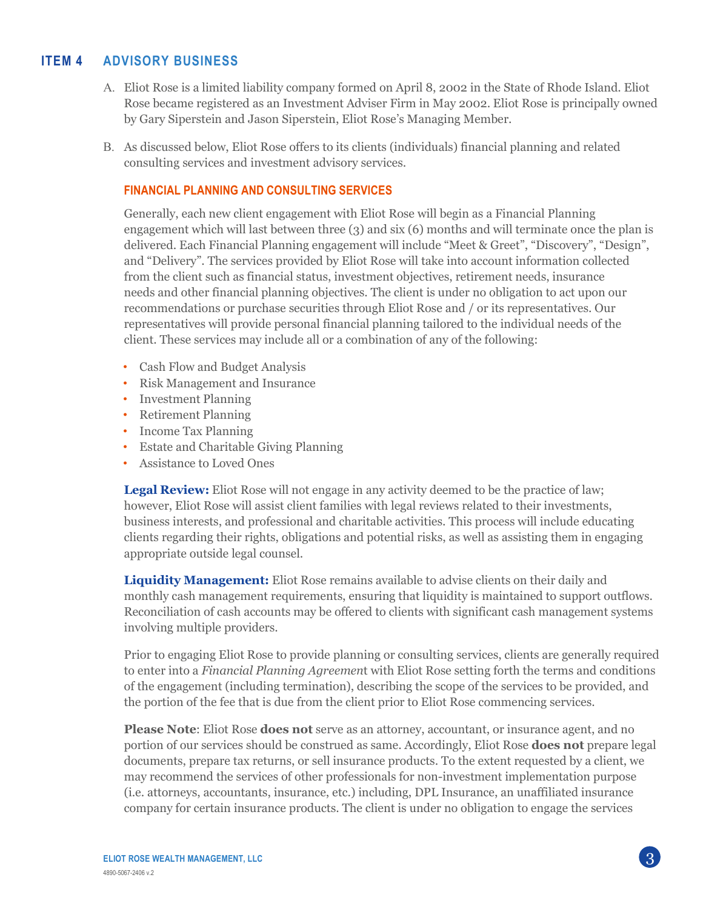## **ITEM 4 ADVISORY BUSINESS**

- A. Eliot Rose is a limited liability company formed on April 8, 2002 in the State of Rhode Island. Eliot Rose became registered as an Investment Adviser Firm in May 2002. Eliot Rose is principally owned by Gary Siperstein and Jason Siperstein, Eliot Rose's Managing Member.
- B. As discussed below, Eliot Rose offers to its clients (individuals) financial planning and related consulting services and investment advisory services.

### **FINANCIAL PLANNING AND CONSULTING SERVICES**

Generally, each new client engagement with Eliot Rose will begin as a Financial Planning engagement which will last between three (3) and six (6) months and will terminate once the plan is delivered. Each Financial Planning engagement will include "Meet & Greet", "Discovery", "Design", and "Delivery". The services provided by Eliot Rose will take into account information collected from the client such as financial status, investment objectives, retirement needs, insurance needs and other financial planning objectives. The client is under no obligation to act upon our recommendations or purchase securities through Eliot Rose and / or its representatives. Our representatives will provide personal financial planning tailored to the individual needs of the client. These services may include all or a combination of any of the following:

- Cash Flow and Budget Analysis
- Risk Management and Insurance
- Investment Planning
- Retirement Planning
- Income Tax Planning
- Estate and Charitable Giving Planning
- Assistance to Loved Ones

**Legal Review:** Eliot Rose will not engage in any activity deemed to be the practice of law; however, Eliot Rose will assist client families with legal reviews related to their investments, business interests, and professional and charitable activities. This process will include educating clients regarding their rights, obligations and potential risks, as well as assisting them in engaging appropriate outside legal counsel.

**Liquidity Management:** Eliot Rose remains available to advise clients on their daily and monthly cash management requirements, ensuring that liquidity is maintained to support outflows. Reconciliation of cash accounts may be offered to clients with significant cash management systems involving multiple providers.

Prior to engaging Eliot Rose to provide planning or consulting services, clients are generally required to enter into a *Financial Planning Agreemen*t with Eliot Rose setting forth the terms and conditions of the engagement (including termination), describing the scope of the services to be provided, and the portion of the fee that is due from the client prior to Eliot Rose commencing services.

**Please Note**: Eliot Rose **does not** serve as an attorney, accountant, or insurance agent, and no portion of our services should be construed as same. Accordingly, Eliot Rose **does not** prepare legal documents, prepare tax returns, or sell insurance products. To the extent requested by a client, we may recommend the services of other professionals for non-investment implementation purpose (i.e. attorneys, accountants, insurance, etc.) including, DPL Insurance, an unaffiliated insurance company for certain insurance products. The client is under no obligation to engage the services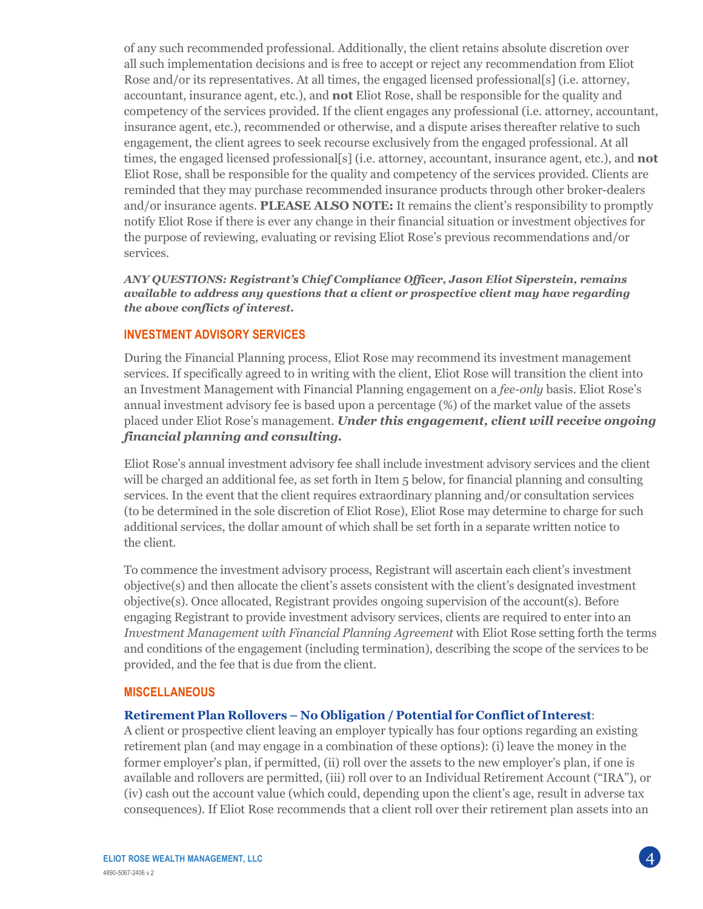of any such recommended professional. Additionally, the client retains absolute discretion over all such implementation decisions and is free to accept or reject any recommendation from Eliot Rose and/or its representatives. At all times, the engaged licensed professional[s] (i.e. attorney, accountant, insurance agent, etc.), and **not** Eliot Rose, shall be responsible for the quality and competency of the services provided. If the client engages any professional (i.e. attorney, accountant, insurance agent, etc.), recommended or otherwise, and a dispute arises thereafter relative to such engagement, the client agrees to seek recourse exclusively from the engaged professional. At all times, the engaged licensed professional[s] (i.e. attorney, accountant, insurance agent, etc.), and **not** Eliot Rose, shall be responsible for the quality and competency of the services provided. Clients are reminded that they may purchase recommended insurance products through other broker-dealers and/or insurance agents. **PLEASE ALSO NOTE:** It remains the client's responsibility to promptly notify Eliot Rose if there is ever any change in their financial situation or investment objectives for the purpose of reviewing, evaluating or revising Eliot Rose's previous recommendations and/or services.

*ANY QUESTIONS: Registrant's Chief Compliance Officer, Jason Eliot Siperstein, remains available to address any questions that a client or prospective client may have regarding the above conflicts of interest.* 

### **INVESTMENT ADVISORY SERVICES**

During the Financial Planning process, Eliot Rose may recommend its investment management services. If specifically agreed to in writing with the client, Eliot Rose will transition the client into an Investment Management with Financial Planning engagement on a *fee-only* basis. Eliot Rose's annual investment advisory fee is based upon a percentage (%) of the market value of the assets placed under Eliot Rose's management. *Under this engagement, client will receive ongoing financial planning and consulting.*

Eliot Rose's annual investment advisory fee shall include investment advisory services and the client will be charged an additional fee, as set forth in Item 5 below, for financial planning and consulting services. In the event that the client requires extraordinary planning and/or consultation services (to be determined in the sole discretion of Eliot Rose), Eliot Rose may determine to charge for such additional services, the dollar amount of which shall be set forth in a separate written notice to the client.

To commence the investment advisory process, Registrant will ascertain each client's investment objective(s) and then allocate the client's assets consistent with the client's designated investment objective(s). Once allocated, Registrant provides ongoing supervision of the account(s). Before engaging Registrant to provide investment advisory services, clients are required to enter into an *Investment Management with Financial Planning Agreement* with Eliot Rose setting forth the terms and conditions of the engagement (including termination), describing the scope of the services to be provided, and the fee that is due from the client.

#### **MISCELLANEOUS**

#### **Retirement Plan Rollovers – No Obligation / Potentialfor Conflict of Interest**:

A client or prospective client leaving an employer typically has four options regarding an existing retirement plan (and may engage in a combination of these options): (i) leave the money in the former employer's plan, if permitted, (ii) roll over the assets to the new employer's plan, if one is available and rollovers are permitted, (iii) roll over to an Individual Retirement Account ("IRA"), or (iv) cash out the account value (which could, depending upon the client's age, result in adverse tax consequences). If Eliot Rose recommends that a client roll over their retirement plan assets into an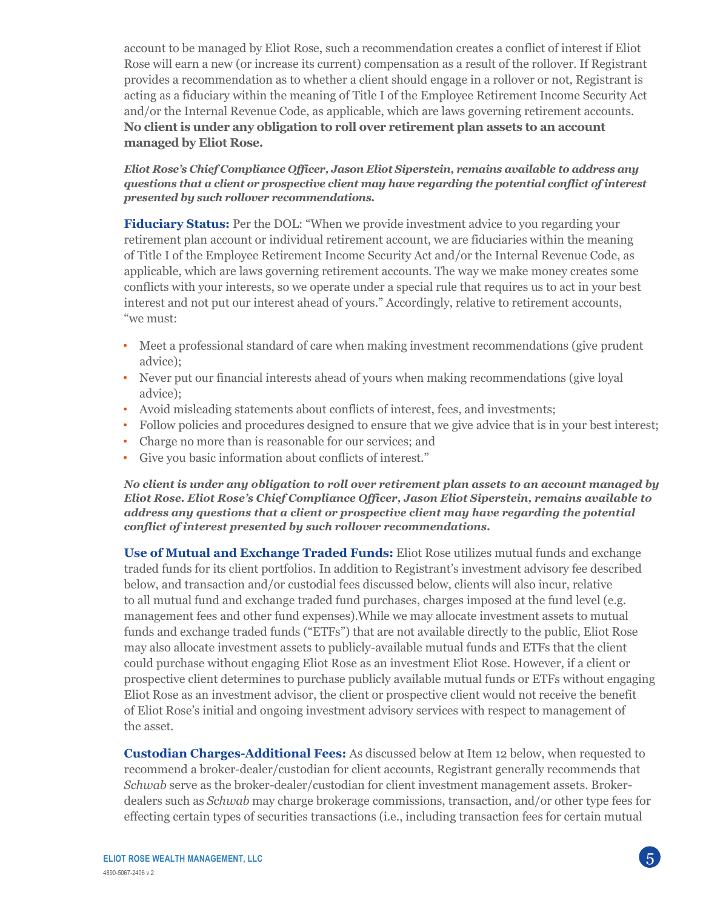account to be managed by Eliot Rose, such a recommendation creates a conflict of interest if Eliot Rose will earn a new (or increase its current) compensation as a result of the rollover. If Registrant provides a recommendation as to whether a client should engage in a rollover or not, Registrant is acting as a fiduciary within the meaning of Title I of the Employee Retirement Income Security Act and/or the Internal Revenue Code, as applicable, which are laws governing retirement accounts. **No client is under any obligation to roll over retirement plan assets to an account managed by Eliot Rose.**

#### *Eliot Rose's Chief Compliance Officer, Jason Eliot Siperstein, remains available to address any questions that a client or prospective client may have regarding the potential conflict of interest presented by such rollover recommendations.*

**Fiduciary Status:** Per the DOL: "When we provide investment advice to you regarding your retirement plan account or individual retirement account, we are fiduciaries within the meaning of Title I of the Employee Retirement Income Security Act and/or the Internal Revenue Code, as applicable, which are laws governing retirement accounts. The way we make money creates some conflicts with your interests, so we operate under a special rule that requires us to act in your best interest and not put our interest ahead of yours." Accordingly, relative to retirement accounts, "we must:

- Meet a professional standard of care when making investment recommendations (give prudent advice);
- Never put our financial interests ahead of yours when making recommendations (give loyal advice);
- Avoid misleading statements about conflicts of interest, fees, and investments;
- Follow policies and procedures designed to ensure that we give advice that is in your best interest;
- Charge no more than is reasonable for our services; and
- Give you basic information about conflicts of interest."

*No client is under any obligation to roll over retirement plan assets to an account managed by Eliot Rose. Eliot Rose's Chief Compliance Officer, Jason Eliot Siperstein, remains available to address any questions that a client or prospective client may have regarding the potential conflict of interest presented by such rollover recommendations.*

**Use of Mutual and Exchange Traded Funds:** Eliot Rose utilizes mutual funds and exchange traded funds for its client portfolios. In addition to Registrant's investment advisory fee described below, and transaction and/or custodial fees discussed below, clients will also incur, relative to all mutual fund and exchange traded fund purchases, charges imposed at the fund level (e.g. management fees and other fund expenses).While we may allocate investment assets to mutual funds and exchange traded funds ("ETFs") that are not available directly to the public, Eliot Rose may also allocate investment assets to publicly-available mutual funds and ETFs that the client could purchase without engaging Eliot Rose as an investment Eliot Rose. However, if a client or prospective client determines to purchase publicly available mutual funds or ETFs without engaging Eliot Rose as an investment advisor, the client or prospective client would not receive the benefit of Eliot Rose's initial and ongoing investment advisory services with respect to management of the asset.

**Custodian Charges-Additional Fees:** As discussed below at Item 12 below, when requested to recommend a broker-dealer/custodian for client accounts, Registrant generally recommends that *Schwab* serve as the broker-dealer/custodian for client investment management assets. Brokerdealers such as *Schwab* may charge brokerage commissions, transaction, and/or other type fees for effecting certain types of securities transactions (i.e., including transaction fees for certain mutual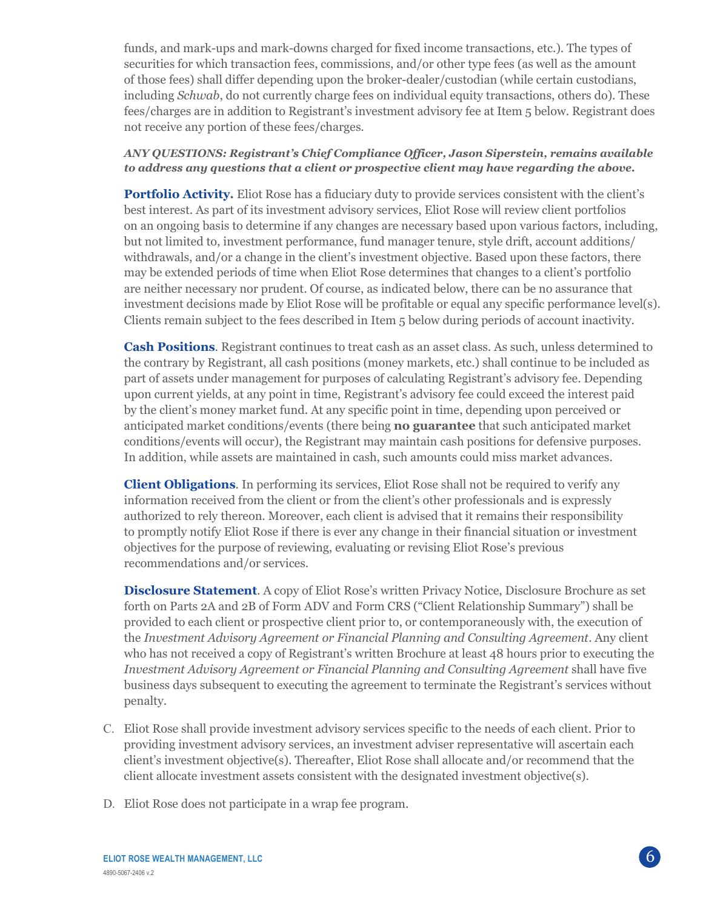funds, and mark-ups and mark-downs charged for fixed income transactions, etc.). The types of securities for which transaction fees, commissions, and/or other type fees (as well as the amount of those fees) shall differ depending upon the broker-dealer/custodian (while certain custodians, including *Schwab*, do not currently charge fees on individual equity transactions, others do). These fees/charges are in addition to Registrant's investment advisory fee at Item 5 below. Registrant does not receive any portion of these fees/charges.

### *ANY QUESTIONS: Registrant's Chief Compliance Officer, Jason Siperstein, remains available to address any questions that a client or prospective client may have regarding the above.*

**Portfolio Activity.** Eliot Rose has a fiduciary duty to provide services consistent with the client's best interest. As part of its investment advisory services, Eliot Rose will review client portfolios on an ongoing basis to determine if any changes are necessary based upon various factors, including, but not limited to, investment performance, fund manager tenure, style drift, account additions/ withdrawals, and/or a change in the client's investment objective. Based upon these factors, there may be extended periods of time when Eliot Rose determines that changes to a client's portfolio are neither necessary nor prudent. Of course, as indicated below, there can be no assurance that investment decisions made by Eliot Rose will be profitable or equal any specific performance level(s). Clients remain subject to the fees described in Item 5 below during periods of account inactivity.

**Cash Positions**. Registrant continues to treat cash as an asset class. As such, unless determined to the contrary by Registrant, all cash positions (money markets, etc.) shall continue to be included as part of assets under management for purposes of calculating Registrant's advisory fee. Depending upon current yields, at any point in time, Registrant's advisory fee could exceed the interest paid by the client's money market fund. At any specific point in time, depending upon perceived or anticipated market conditions/events (there being **no guarantee** that such anticipated market conditions/events will occur), the Registrant may maintain cash positions for defensive purposes. In addition, while assets are maintained in cash, such amounts could miss market advances.

**Client Obligations**. In performing its services, Eliot Rose shall not be required to verify any information received from the client or from the client's other professionals and is expressly authorized to rely thereon. Moreover, each client is advised that it remains their responsibility to promptly notify Eliot Rose if there is ever any change in their financial situation or investment objectives for the purpose of reviewing, evaluating or revising Eliot Rose's previous recommendations and/or services.

**Disclosure Statement**. A copy of Eliot Rose's written Privacy Notice, Disclosure Brochure as set forth on Parts 2A and 2B of Form ADV and Form CRS ("Client Relationship Summary") shall be provided to each client or prospective client prior to, or contemporaneously with, the execution of the *Investment Advisory Agreement or Financial Planning and Consulting Agreement*. Any client who has not received a copy of Registrant's written Brochure at least 48 hours prior to executing the *Investment Advisory Agreement or Financial Planning and Consulting Agreement* shall have five business days subsequent to executing the agreement to terminate the Registrant's services without penalty.

- C. Eliot Rose shall provide investment advisory services specific to the needs of each client. Prior to providing investment advisory services, an investment adviser representative will ascertain each client's investment objective(s). Thereafter, Eliot Rose shall allocate and/or recommend that the client allocate investment assets consistent with the designated investment objective(s).
- D. Eliot Rose does not participate in a wrap fee program.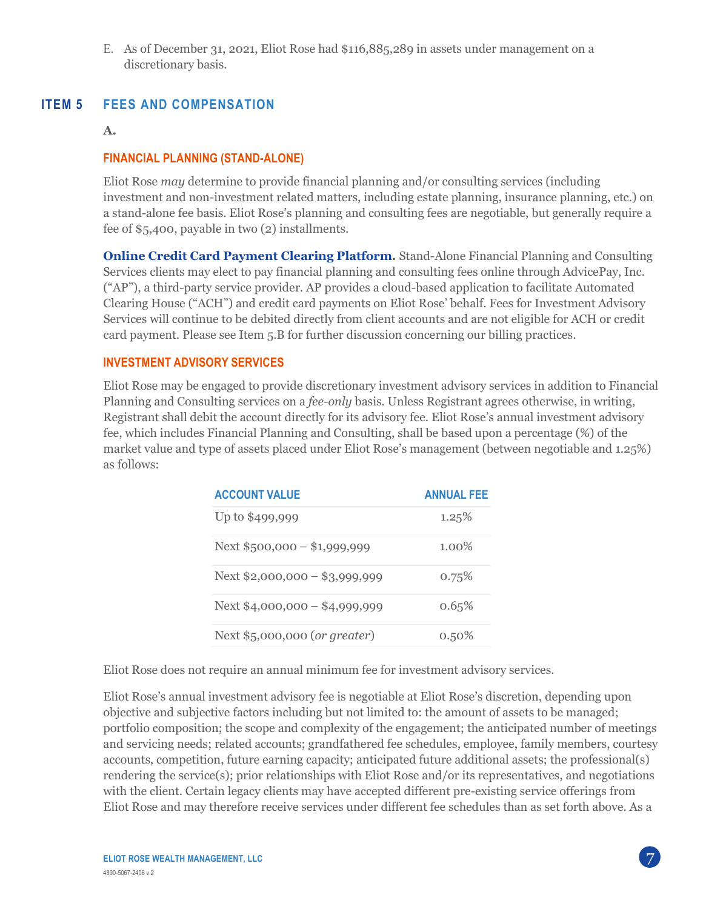E. As of December 31, 2021, Eliot Rose had \$116,885,289 in assets under management on a discretionary basis.

## **ITEM 5 FEES AND COMPENSATION**

#### **A.**

### **FINANCIAL PLANNING (STAND-ALONE)**

Eliot Rose *may* determine to provide financial planning and/or consulting services (including investment and non-investment related matters, including estate planning, insurance planning, etc.) on a stand-alone fee basis. Eliot Rose's planning and consulting fees are negotiable, but generally require a fee of \$5,400, payable in two (2) installments.

**Online Credit Card Payment Clearing Platform.** Stand-Alone Financial Planning and Consulting Services clients may elect to pay financial planning and consulting fees online through AdvicePay, Inc. ("AP"), a third-party service provider. AP provides a cloud-based application to facilitate Automated Clearing House ("ACH") and credit card payments on Eliot Rose' behalf. Fees for Investment Advisory Services will continue to be debited directly from client accounts and are not eligible for ACH or credit card payment. Please see Item 5.B for further discussion concerning our billing practices.

### **INVESTMENT ADVISORY SERVICES**

Eliot Rose may be engaged to provide discretionary investment advisory services in addition to Financial Planning and Consulting services on a *fee-only* basis. Unless Registrant agrees otherwise, in writing, Registrant shall debit the account directly for its advisory fee. Eliot Rose's annual investment advisory fee, which includes Financial Planning and Consulting, shall be based upon a percentage (%) of the market value and type of assets placed under Eliot Rose's management (between negotiable and 1.25%) as follows:

| <b>ACCOUNT VALUE</b>           | <b>ANNUAL FEE</b> |
|--------------------------------|-------------------|
| Up to \$499,999                | 1.25%             |
| Next $$500,000 - $1,999,999$   | $1.00\%$          |
| Next $$2,000,000 - $3,999,999$ | 0.75%             |
| Next $$4,000,000 - $4,999,999$ | 0.65%             |
| Next \$5,000,000 (or greater)  | $0.50\%$          |

Eliot Rose does not require an annual minimum fee for investment advisory services.

Eliot Rose's annual investment advisory fee is negotiable at Eliot Rose's discretion, depending upon objective and subjective factors including but not limited to: the amount of assets to be managed; portfolio composition; the scope and complexity of the engagement; the anticipated number of meetings and servicing needs; related accounts; grandfathered fee schedules, employee, family members, courtesy accounts, competition, future earning capacity; anticipated future additional assets; the professional(s) rendering the service(s); prior relationships with Eliot Rose and/or its representatives, and negotiations with the client. Certain legacy clients may have accepted different pre-existing service offerings from Eliot Rose and may therefore receive services under different fee schedules than as set forth above. As a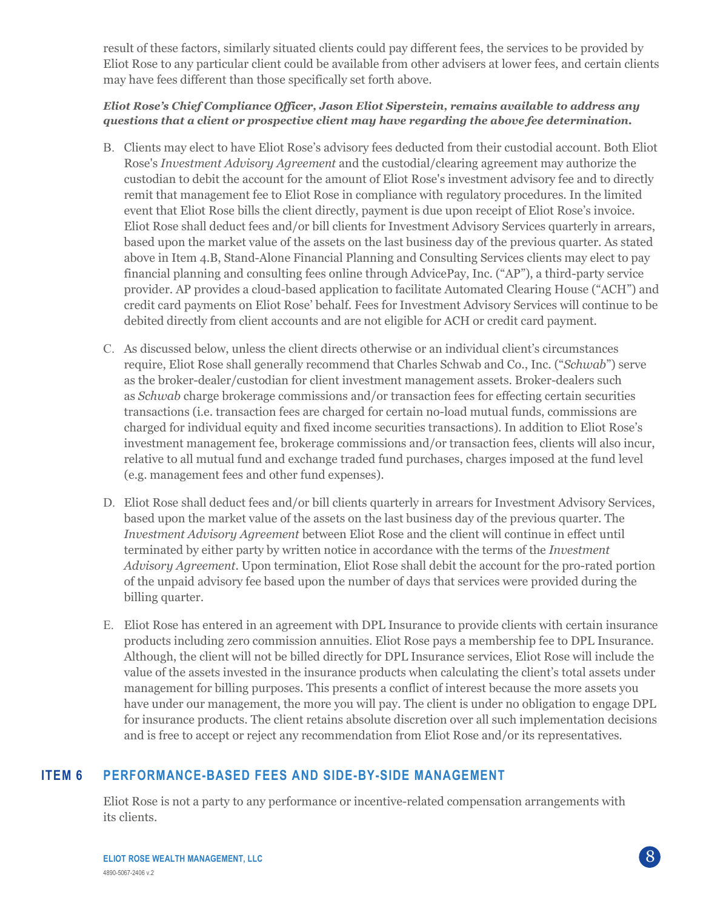result of these factors, similarly situated clients could pay different fees, the services to be provided by Eliot Rose to any particular client could be available from other advisers at lower fees, and certain clients may have fees different than those specifically set forth above.

### *Eliot Rose's Chief Compliance Officer, Jason Eliot Siperstein, remains available to address any questions that a client or prospective client may have regarding the above fee determination.*

- B. Clients may elect to have Eliot Rose's advisory fees deducted from their custodial account. Both Eliot Rose's *Investment Advisory Agreement* and the custodial/clearing agreement may authorize the custodian to debit the account for the amount of Eliot Rose's investment advisory fee and to directly remit that management fee to Eliot Rose in compliance with regulatory procedures. In the limited event that Eliot Rose bills the client directly, payment is due upon receipt of Eliot Rose's invoice. Eliot Rose shall deduct fees and/or bill clients for Investment Advisory Services quarterly in arrears, based upon the market value of the assets on the last business day of the previous quarter. As stated above in Item 4.B, Stand-Alone Financial Planning and Consulting Services clients may elect to pay financial planning and consulting fees online through AdvicePay, Inc. ("AP"), a third-party service provider. AP provides a cloud-based application to facilitate Automated Clearing House ("ACH") and credit card payments on Eliot Rose' behalf. Fees for Investment Advisory Services will continue to be debited directly from client accounts and are not eligible for ACH or credit card payment.
- C. As discussed below, unless the client directs otherwise or an individual client's circumstances require, Eliot Rose shall generally recommend that Charles Schwab and Co., Inc. ("*Schwab*") serve as the broker-dealer/custodian for client investment management assets. Broker-dealers such as *Schwab* charge brokerage commissions and/or transaction fees for effecting certain securities transactions (i.e. transaction fees are charged for certain no-load mutual funds, commissions are charged for individual equity and fixed income securities transactions). In addition to Eliot Rose's investment management fee, brokerage commissions and/or transaction fees, clients will also incur, relative to all mutual fund and exchange traded fund purchases, charges imposed at the fund level (e.g. management fees and other fund expenses).
- D. Eliot Rose shall deduct fees and/or bill clients quarterly in arrears for Investment Advisory Services, based upon the market value of the assets on the last business day of the previous quarter. The *Investment Advisory Agreement* between Eliot Rose and the client will continue in effect until terminated by either party by written notice in accordance with the terms of the *Investment Advisory Agreement*. Upon termination, Eliot Rose shall debit the account for the pro-rated portion of the unpaid advisory fee based upon the number of days that services were provided during the billing quarter.
- E. Eliot Rose has entered in an agreement with DPL Insurance to provide clients with certain insurance products including zero commission annuities. Eliot Rose pays a membership fee to DPL Insurance. Although, the client will not be billed directly for DPL Insurance services, Eliot Rose will include the value of the assets invested in the insurance products when calculating the client's total assets under management for billing purposes. This presents a conflict of interest because the more assets you have under our management, the more you will pay. The client is under no obligation to engage DPL for insurance products. The client retains absolute discretion over all such implementation decisions and is free to accept or reject any recommendation from Eliot Rose and/or its representatives.

## **ITEM 6 PERFORMANCE-BASED FEES AND SIDE-BY-SIDE MANAGEMENT**

Eliot Rose is not a party to any performance or incentive-related compensation arrangements with its clients.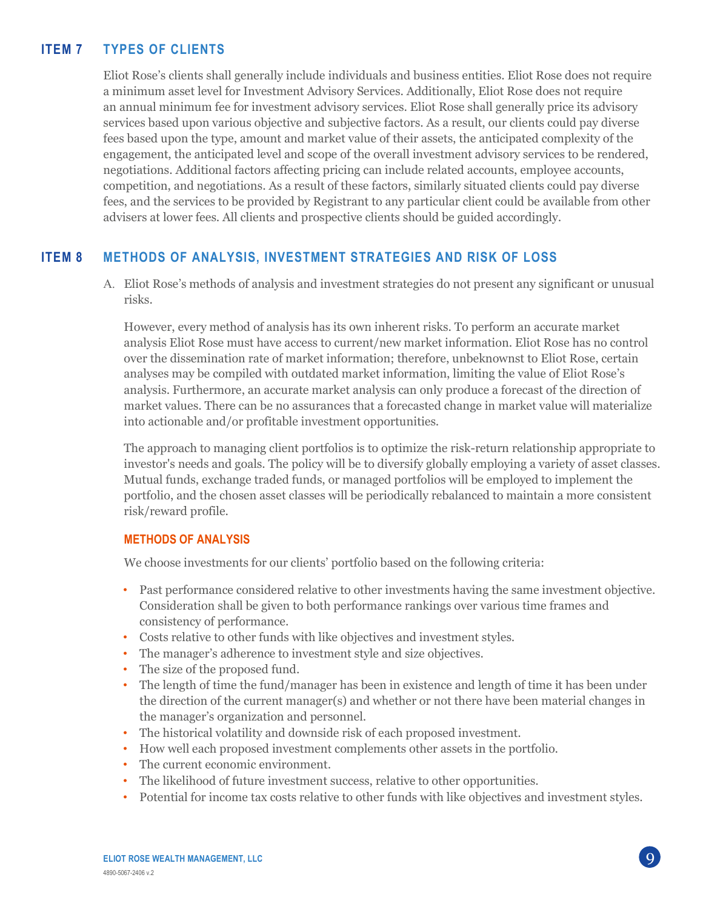# **ITEM 7 TYPES OF CLIENTS**

Eliot Rose's clients shall generally include individuals and business entities. Eliot Rose does not require a minimum asset level for Investment Advisory Services. Additionally, Eliot Rose does not require an annual minimum fee for investment advisory services. Eliot Rose shall generally price its advisory services based upon various objective and subjective factors. As a result, our clients could pay diverse fees based upon the type, amount and market value of their assets, the anticipated complexity of the engagement, the anticipated level and scope of the overall investment advisory services to be rendered, negotiations. Additional factors affecting pricing can include related accounts, employee accounts, competition, and negotiations. As a result of these factors, similarly situated clients could pay diverse fees, and the services to be provided by Registrant to any particular client could be available from other advisers at lower fees. All clients and prospective clients should be guided accordingly.

## **ITEM 8 METHODS OF ANALYSIS, INVESTMENT STRATEGIES AND RISK OF LOSS**

A. Eliot Rose's methods of analysis and investment strategies do not present any significant or unusual risks.

However, every method of analysis has its own inherent risks. To perform an accurate market analysis Eliot Rose must have access to current/new market information. Eliot Rose has no control over the dissemination rate of market information; therefore, unbeknownst to Eliot Rose, certain analyses may be compiled with outdated market information, limiting the value of Eliot Rose's analysis. Furthermore, an accurate market analysis can only produce a forecast of the direction of market values. There can be no assurances that a forecasted change in market value will materialize into actionable and/or profitable investment opportunities.

The approach to managing client portfolios is to optimize the risk-return relationship appropriate to investor's needs and goals. The policy will be to diversify globally employing a variety of asset classes. Mutual funds, exchange traded funds, or managed portfolios will be employed to implement the portfolio, and the chosen asset classes will be periodically rebalanced to maintain a more consistent risk/reward profile.

#### **METHODS OF ANALYSIS**

We choose investments for our clients' portfolio based on the following criteria:

- Past performance considered relative to other investments having the same investment objective. Consideration shall be given to both performance rankings over various time frames and consistency of performance.
- Costs relative to other funds with like objectives and investment styles.
- The manager's adherence to investment style and size objectives.
- The size of the proposed fund.
- The length of time the fund/manager has been in existence and length of time it has been under the direction of the current manager(s) and whether or not there have been material changes in the manager's organization and personnel.
- The historical volatility and downside risk of each proposed investment.
- How well each proposed investment complements other assets in the portfolio.
- The current economic environment.
- The likelihood of future investment success, relative to other opportunities.
- Potential for income tax costs relative to other funds with like objectives and investment styles.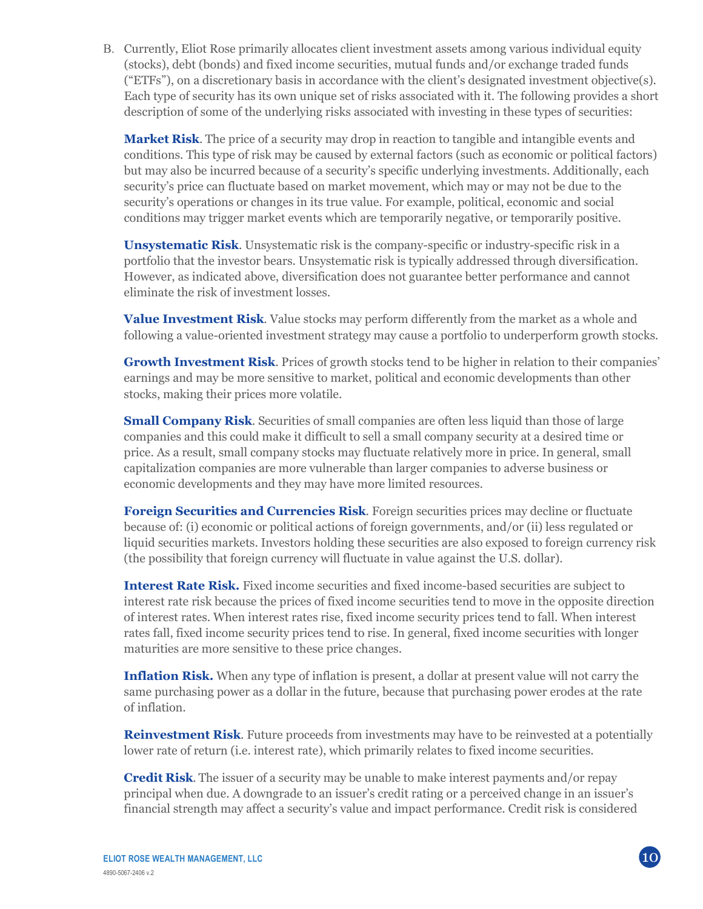B. Currently, Eliot Rose primarily allocates client investment assets among various individual equity (stocks), debt (bonds) and fixed income securities, mutual funds and/or exchange traded funds ("ETFs"), on a discretionary basis in accordance with the client's designated investment objective(s). Each type of security has its own unique set of risks associated with it. The following provides a short description of some of the underlying risks associated with investing in these types of securities:

**Market Risk**. The price of a security may drop in reaction to tangible and intangible events and conditions. This type of risk may be caused by external factors (such as economic or political factors) but may also be incurred because of a security's specific underlying investments. Additionally, each security's price can fluctuate based on market movement, which may or may not be due to the security's operations or changes in its true value. For example, political, economic and social conditions may trigger market events which are temporarily negative, or temporarily positive.

**Unsystematic Risk**. Unsystematic risk is the company-specific or industry-specific risk in a portfolio that the investor bears. Unsystematic risk is typically addressed through diversification. However, as indicated above, diversification does not guarantee better performance and cannot eliminate the risk of investment losses.

**Value Investment Risk**. Value stocks may perform differently from the market as a whole and following a value-oriented investment strategy may cause a portfolio to underperform growth stocks.

**Growth Investment Risk**. Prices of growth stocks tend to be higher in relation to their companies' earnings and may be more sensitive to market, political and economic developments than other stocks, making their prices more volatile.

**Small Company Risk.** Securities of small companies are often less liquid than those of large companies and this could make it difficult to sell a small company security at a desired time or price. As a result, small company stocks may fluctuate relatively more in price. In general, small capitalization companies are more vulnerable than larger companies to adverse business or economic developments and they may have more limited resources.

**Foreign Securities and Currencies Risk**. Foreign securities prices may decline or fluctuate because of: (i) economic or political actions of foreign governments, and/or (ii) less regulated or liquid securities markets. Investors holding these securities are also exposed to foreign currency risk (the possibility that foreign currency will fluctuate in value against the U.S. dollar).

**Interest Rate Risk.** Fixed income securities and fixed income-based securities are subject to interest rate risk because the prices of fixed income securities tend to move in the opposite direction of interest rates. When interest rates rise, fixed income security prices tend to fall. When interest rates fall, fixed income security prices tend to rise. In general, fixed income securities with longer maturities are more sensitive to these price changes.

**Inflation Risk.** When any type of inflation is present, a dollar at present value will not carry the same purchasing power as a dollar in the future, because that purchasing power erodes at the rate of inflation.

**Reinvestment Risk**. Future proceeds from investments may have to be reinvested at a potentially lower rate of return (i.e. interest rate), which primarily relates to fixed income securities.

**Credit Risk**. The issuer of a security may be unable to make interest payments and/or repay principal when due. A downgrade to an issuer's credit rating or a perceived change in an issuer's financial strength may affect a security's value and impact performance. Credit risk is considered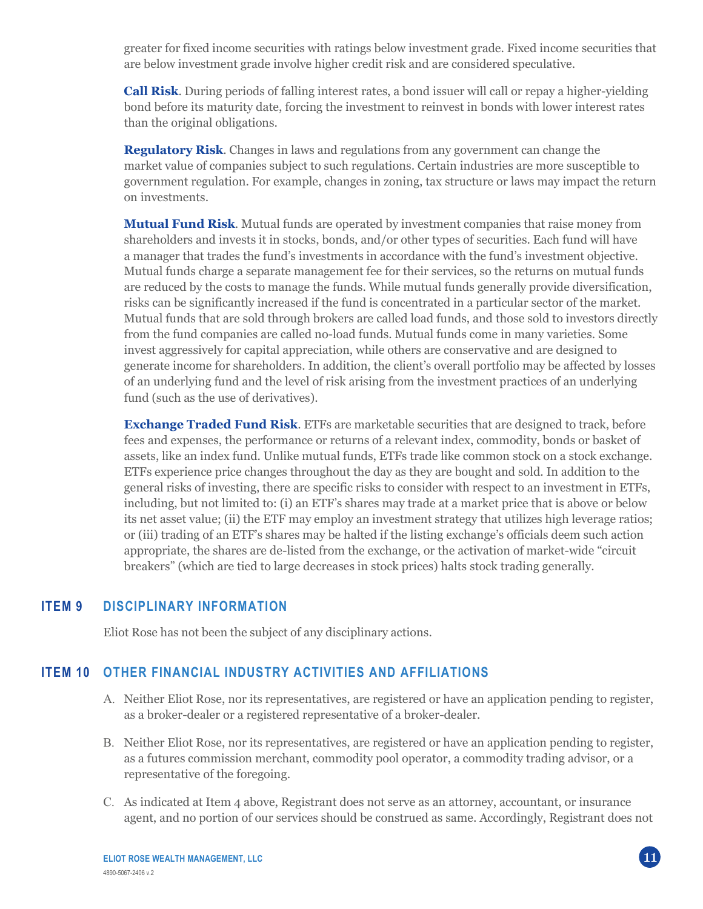greater for fixed income securities with ratings below investment grade. Fixed income securities that are below investment grade involve higher credit risk and are considered speculative.

**Call Risk**. During periods of falling interest rates, a bond issuer will call or repay a higher-yielding bond before its maturity date, forcing the investment to reinvest in bonds with lower interest rates than the original obligations.

**Regulatory Risk**. Changes in laws and regulations from any government can change the market value of companies subject to such regulations. Certain industries are more susceptible to government regulation. For example, changes in zoning, tax structure or laws may impact the return on investments.

**Mutual Fund Risk**. Mutual funds are operated by investment companies that raise money from shareholders and invests it in stocks, bonds, and/or other types of securities. Each fund will have a manager that trades the fund's investments in accordance with the fund's investment objective. Mutual funds charge a separate management fee for their services, so the returns on mutual funds are reduced by the costs to manage the funds. While mutual funds generally provide diversification, risks can be significantly increased if the fund is concentrated in a particular sector of the market. Mutual funds that are sold through brokers are called load funds, and those sold to investors directly from the fund companies are called no-load funds. Mutual funds come in many varieties. Some invest aggressively for capital appreciation, while others are conservative and are designed to generate income for shareholders. In addition, the client's overall portfolio may be affected by losses of an underlying fund and the level of risk arising from the investment practices of an underlying fund (such as the use of derivatives).

**Exchange Traded Fund Risk**. ETFs are marketable securities that are designed to track, before fees and expenses, the performance or returns of a relevant index, commodity, bonds or basket of assets, like an index fund. Unlike mutual funds, ETFs trade like common stock on a stock exchange. ETFs experience price changes throughout the day as they are bought and sold. In addition to the general risks of investing, there are specific risks to consider with respect to an investment in ETFs, including, but not limited to: (i) an ETF's shares may trade at a market price that is above or below its net asset value; (ii) the ETF may employ an investment strategy that utilizes high leverage ratios; or (iii) trading of an ETF's shares may be halted if the listing exchange's officials deem such action appropriate, the shares are de-listed from the exchange, or the activation of market-wide "circuit breakers" (which are tied to large decreases in stock prices) halts stock trading generally.

## **ITEM 9 DISCIPLINARY INFORMATION**

Eliot Rose has not been the subject of any disciplinary actions.

## **ITEM 10 OTHER FINANCIAL INDUSTRY ACTIVITIES AND AFFILIATIONS**

- A. Neither Eliot Rose, nor its representatives, are registered or have an application pending to register, as a broker-dealer or a registered representative of a broker-dealer.
- B. Neither Eliot Rose, nor its representatives, are registered or have an application pending to register, as a futures commission merchant, commodity pool operator, a commodity trading advisor, or a representative of the foregoing.
- C. As indicated at Item 4 above, Registrant does not serve as an attorney, accountant, or insurance agent, and no portion of our services should be construed as same. Accordingly, Registrant does not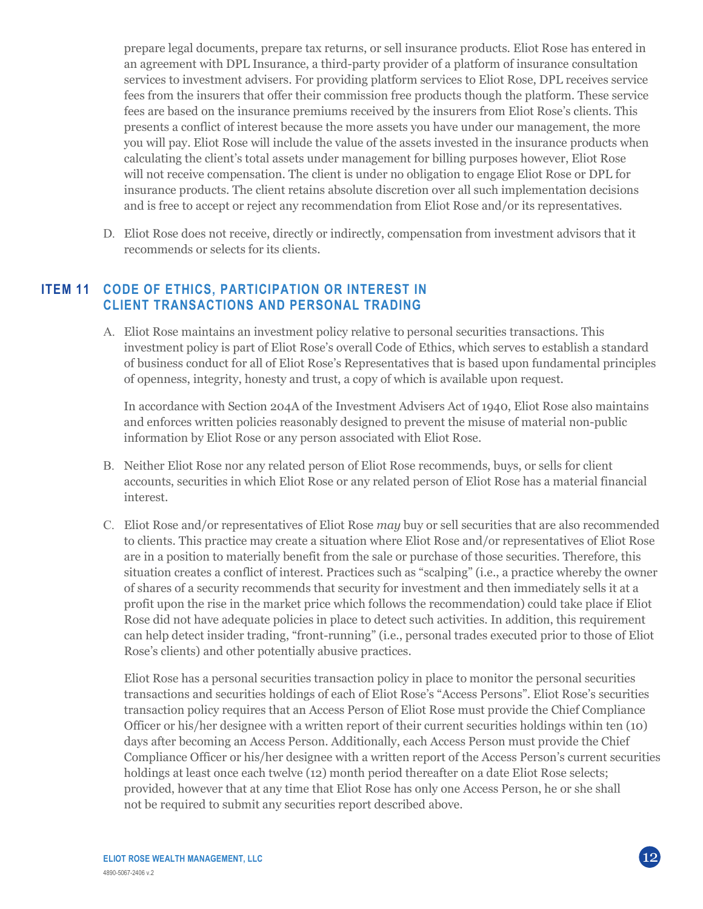prepare legal documents, prepare tax returns, or sell insurance products. Eliot Rose has entered in an agreement with DPL Insurance, a third-party provider of a platform of insurance consultation services to investment advisers. For providing platform services to Eliot Rose, DPL receives service fees from the insurers that offer their commission free products though the platform. These service fees are based on the insurance premiums received by the insurers from Eliot Rose's clients. This presents a conflict of interest because the more assets you have under our management, the more you will pay. Eliot Rose will include the value of the assets invested in the insurance products when calculating the client's total assets under management for billing purposes however, Eliot Rose will not receive compensation. The client is under no obligation to engage Eliot Rose or DPL for insurance products. The client retains absolute discretion over all such implementation decisions and is free to accept or reject any recommendation from Eliot Rose and/or its representatives.

D. Eliot Rose does not receive, directly or indirectly, compensation from investment advisors that it recommends or selects for its clients.

### **ITEM 11 CODE OF ETHICS, PARTICIPATION OR INTEREST IN CLIENT TRANSACTIONS AND PERSONAL TRADING**

A. Eliot Rose maintains an investment policy relative to personal securities transactions. This investment policy is part of Eliot Rose's overall Code of Ethics, which serves to establish a standard of business conduct for all of Eliot Rose's Representatives that is based upon fundamental principles of openness, integrity, honesty and trust, a copy of which is available upon request.

In accordance with Section 204A of the Investment Advisers Act of 1940, Eliot Rose also maintains and enforces written policies reasonably designed to prevent the misuse of material non-public information by Eliot Rose or any person associated with Eliot Rose.

- B. Neither Eliot Rose nor any related person of Eliot Rose recommends, buys, or sells for client accounts, securities in which Eliot Rose or any related person of Eliot Rose has a material financial interest.
- C. Eliot Rose and/or representatives of Eliot Rose *may* buy or sell securities that are also recommended to clients. This practice may create a situation where Eliot Rose and/or representatives of Eliot Rose are in a position to materially benefit from the sale or purchase of those securities. Therefore, this situation creates a conflict of interest. Practices such as "scalping" (i.e., a practice whereby the owner of shares of a security recommends that security for investment and then immediately sells it at a profit upon the rise in the market price which follows the recommendation) could take place if Eliot Rose did not have adequate policies in place to detect such activities. In addition, this requirement can help detect insider trading, "front-running" (i.e., personal trades executed prior to those of Eliot Rose's clients) and other potentially abusive practices.

Eliot Rose has a personal securities transaction policy in place to monitor the personal securities transactions and securities holdings of each of Eliot Rose's "Access Persons". Eliot Rose's securities transaction policy requires that an Access Person of Eliot Rose must provide the Chief Compliance Officer or his/her designee with a written report of their current securities holdings within ten (10) days after becoming an Access Person. Additionally, each Access Person must provide the Chief Compliance Officer or his/her designee with a written report of the Access Person's current securities holdings at least once each twelve (12) month period thereafter on a date Eliot Rose selects; provided, however that at any time that Eliot Rose has only one Access Person, he or she shall not be required to submit any securities report described above.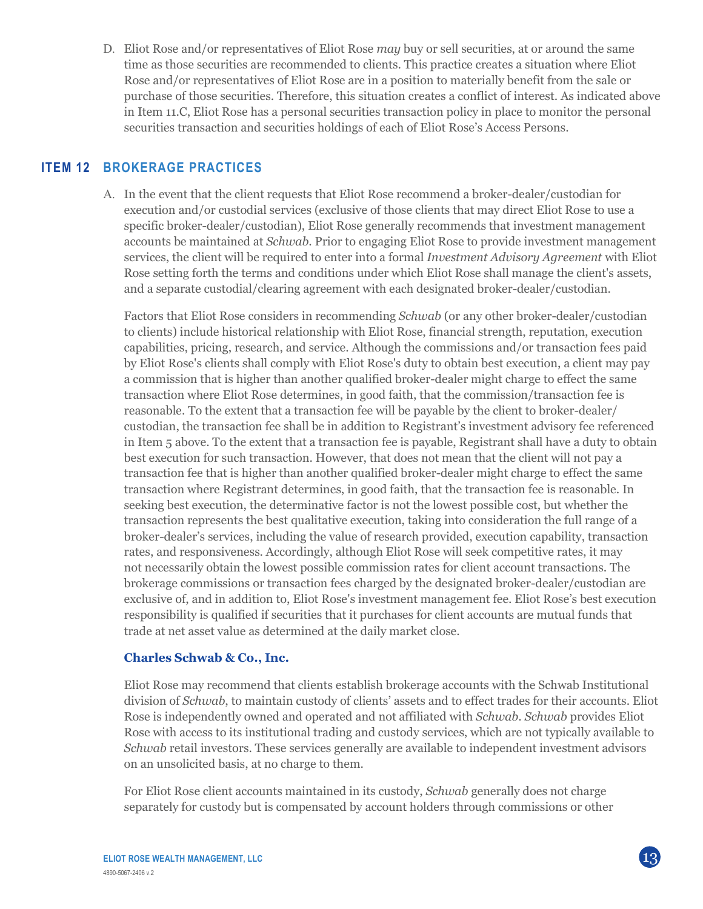D. Eliot Rose and/or representatives of Eliot Rose *may* buy or sell securities, at or around the same time as those securities are recommended to clients. This practice creates a situation where Eliot Rose and/or representatives of Eliot Rose are in a position to materially benefit from the sale or purchase of those securities. Therefore, this situation creates a conflict of interest. As indicated above in Item 11.C, Eliot Rose has a personal securities transaction policy in place to monitor the personal securities transaction and securities holdings of each of Eliot Rose's Access Persons.

## **ITEM 12 BROKERAGE PRACTICES**

A. In the event that the client requests that Eliot Rose recommend a broker-dealer/custodian for execution and/or custodial services (exclusive of those clients that may direct Eliot Rose to use a specific broker-dealer/custodian), Eliot Rose generally recommends that investment management accounts be maintained at *Schwab*. Prior to engaging Eliot Rose to provide investment management services, the client will be required to enter into a formal *Investment Advisory Agreement* with Eliot Rose setting forth the terms and conditions under which Eliot Rose shall manage the client's assets, and a separate custodial/clearing agreement with each designated broker-dealer/custodian.

Factors that Eliot Rose considers in recommending *Schwab* (or any other broker-dealer/custodian to clients) include historical relationship with Eliot Rose, financial strength, reputation, execution capabilities, pricing, research, and service. Although the commissions and/or transaction fees paid by Eliot Rose's clients shall comply with Eliot Rose's duty to obtain best execution, a client may pay a commission that is higher than another qualified broker-dealer might charge to effect the same transaction where Eliot Rose determines, in good faith, that the commission/transaction fee is reasonable. To the extent that a transaction fee will be payable by the client to broker-dealer/ custodian, the transaction fee shall be in addition to Registrant's investment advisory fee referenced in Item 5 above. To the extent that a transaction fee is payable, Registrant shall have a duty to obtain best execution for such transaction. However, that does not mean that the client will not pay a transaction fee that is higher than another qualified broker-dealer might charge to effect the same transaction where Registrant determines, in good faith, that the transaction fee is reasonable. In seeking best execution, the determinative factor is not the lowest possible cost, but whether the transaction represents the best qualitative execution, taking into consideration the full range of a broker-dealer's services, including the value of research provided, execution capability, transaction rates, and responsiveness. Accordingly, although Eliot Rose will seek competitive rates, it may not necessarily obtain the lowest possible commission rates for client account transactions. The brokerage commissions or transaction fees charged by the designated broker-dealer/custodian are exclusive of, and in addition to, Eliot Rose's investment management fee. Eliot Rose's best execution responsibility is qualified if securities that it purchases for client accounts are mutual funds that trade at net asset value as determined at the daily market close.

#### **Charles Schwab & Co., Inc.**

Eliot Rose may recommend that clients establish brokerage accounts with the Schwab Institutional division of *Schwab*, to maintain custody of clients' assets and to effect trades for their accounts. Eliot Rose is independently owned and operated and not affiliated with *Schwab*. *Schwab* provides Eliot Rose with access to its institutional trading and custody services, which are not typically available to *Schwab* retail investors. These services generally are available to independent investment advisors on an unsolicited basis, at no charge to them.

For Eliot Rose client accounts maintained in its custody, *Schwab* generally does not charge separately for custody but is compensated by account holders through commissions or other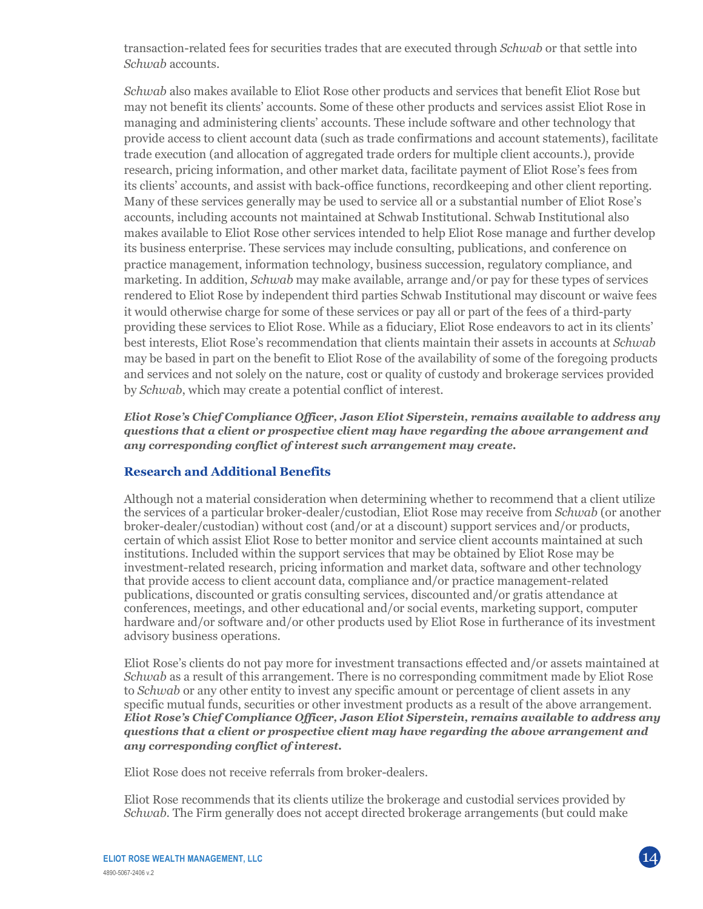transaction-related fees for securities trades that are executed through *Schwab* or that settle into *Schwab* accounts.

*Schwab* also makes available to Eliot Rose other products and services that benefit Eliot Rose but may not benefit its clients' accounts. Some of these other products and services assist Eliot Rose in managing and administering clients' accounts. These include software and other technology that provide access to client account data (such as trade confirmations and account statements), facilitate trade execution (and allocation of aggregated trade orders for multiple client accounts.), provide research, pricing information, and other market data, facilitate payment of Eliot Rose's fees from its clients' accounts, and assist with back-office functions, recordkeeping and other client reporting. Many of these services generally may be used to service all or a substantial number of Eliot Rose's accounts, including accounts not maintained at Schwab Institutional. Schwab Institutional also makes available to Eliot Rose other services intended to help Eliot Rose manage and further develop its business enterprise. These services may include consulting, publications, and conference on practice management, information technology, business succession, regulatory compliance, and marketing. In addition, *Schwab* may make available, arrange and/or pay for these types of services rendered to Eliot Rose by independent third parties Schwab Institutional may discount or waive fees it would otherwise charge for some of these services or pay all or part of the fees of a third-party providing these services to Eliot Rose. While as a fiduciary, Eliot Rose endeavors to act in its clients' best interests, Eliot Rose's recommendation that clients maintain their assets in accounts at *Schwab* may be based in part on the benefit to Eliot Rose of the availability of some of the foregoing products and services and not solely on the nature, cost or quality of custody and brokerage services provided by *Schwab*, which may create a potential conflict of interest.

*Eliot Rose's Chief Compliance Officer, Jason Eliot Siperstein, remains available to address any questions that a client or prospective client may have regarding the above arrangement and any corresponding conflict of interest such arrangement may create.*

### **Research and Additional Benefits**

Although not a material consideration when determining whether to recommend that a client utilize the services of a particular broker-dealer/custodian, Eliot Rose may receive from *Schwab* (or another broker-dealer/custodian) without cost (and/or at a discount) support services and/or products, certain of which assist Eliot Rose to better monitor and service client accounts maintained at such institutions. Included within the support services that may be obtained by Eliot Rose may be investment-related research, pricing information and market data, software and other technology that provide access to client account data, compliance and/or practice management-related publications, discounted or gratis consulting services, discounted and/or gratis attendance at conferences, meetings, and other educational and/or social events, marketing support, computer hardware and/or software and/or other products used by Eliot Rose in furtherance of its investment advisory business operations.

Eliot Rose's clients do not pay more for investment transactions effected and/or assets maintained at *Schwab* as a result of this arrangement. There is no corresponding commitment made by Eliot Rose to *Schwab* or any other entity to invest any specific amount or percentage of client assets in any specific mutual funds, securities or other investment products as a result of the above arrangement. *Eliot Rose's Chief Compliance Officer, Jason Eliot Siperstein, remains available to address any questions that a client or prospective client may have regarding the above arrangement and any corresponding conflict of interest.*

Eliot Rose does not receive referrals from broker-dealers.

Eliot Rose recommends that its clients utilize the brokerage and custodial services provided by *Schwab*. The Firm generally does not accept directed brokerage arrangements (but could make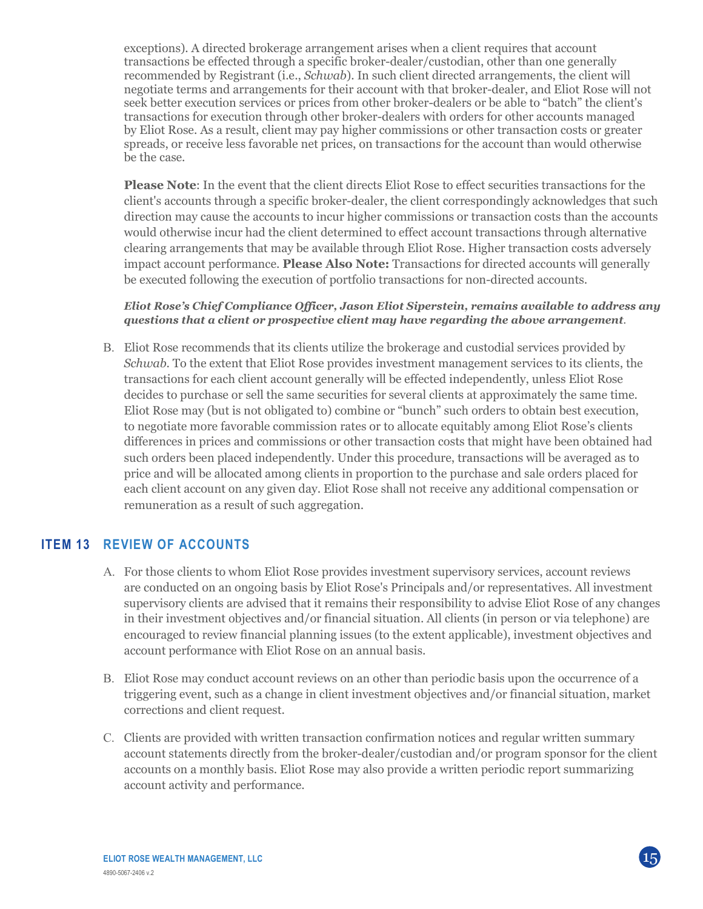exceptions). A directed brokerage arrangement arises when a client requires that account transactions be effected through a specific broker-dealer/custodian, other than one generally recommended by Registrant (i.e., *Schwab*). In such client directed arrangements, the client will negotiate terms and arrangements for their account with that broker-dealer, and Eliot Rose will not seek better execution services or prices from other broker-dealers or be able to "batch" the client's transactions for execution through other broker-dealers with orders for other accounts managed by Eliot Rose. As a result, client may pay higher commissions or other transaction costs or greater spreads, or receive less favorable net prices, on transactions for the account than would otherwise be the case.

**Please Note**: In the event that the client directs Eliot Rose to effect securities transactions for the client's accounts through a specific broker-dealer, the client correspondingly acknowledges that such direction may cause the accounts to incur higher commissions or transaction costs than the accounts would otherwise incur had the client determined to effect account transactions through alternative clearing arrangements that may be available through Eliot Rose. Higher transaction costs adversely impact account performance. **Please Also Note:** Transactions for directed accounts will generally be executed following the execution of portfolio transactions for non-directed accounts.

#### *Eliot Rose's Chief Compliance Officer, Jason Eliot Siperstein, remains available to address any questions that a client or prospective client may have regarding the above arrangement.*

B. Eliot Rose recommends that its clients utilize the brokerage and custodial services provided by *Schwab*. To the extent that Eliot Rose provides investment management services to its clients, the transactions for each client account generally will be effected independently, unless Eliot Rose decides to purchase or sell the same securities for several clients at approximately the same time. Eliot Rose may (but is not obligated to) combine or "bunch" such orders to obtain best execution, to negotiate more favorable commission rates or to allocate equitably among Eliot Rose's clients differences in prices and commissions or other transaction costs that might have been obtained had such orders been placed independently. Under this procedure, transactions will be averaged as to price and will be allocated among clients in proportion to the purchase and sale orders placed for each client account on any given day. Eliot Rose shall not receive any additional compensation or remuneration as a result of such aggregation.

## **ITEM 13 REVIEW OF ACCOUNTS**

- A. For those clients to whom Eliot Rose provides investment supervisory services, account reviews are conducted on an ongoing basis by Eliot Rose's Principals and/or representatives. All investment supervisory clients are advised that it remains their responsibility to advise Eliot Rose of any changes in their investment objectives and/or financial situation. All clients (in person or via telephone) are encouraged to review financial planning issues (to the extent applicable), investment objectives and account performance with Eliot Rose on an annual basis.
- B. Eliot Rose may conduct account reviews on an other than periodic basis upon the occurrence of a triggering event, such as a change in client investment objectives and/or financial situation, market corrections and client request.
- C. Clients are provided with written transaction confirmation notices and regular written summary account statements directly from the broker-dealer/custodian and/or program sponsor for the client accounts on a monthly basis. Eliot Rose may also provide a written periodic report summarizing account activity and performance.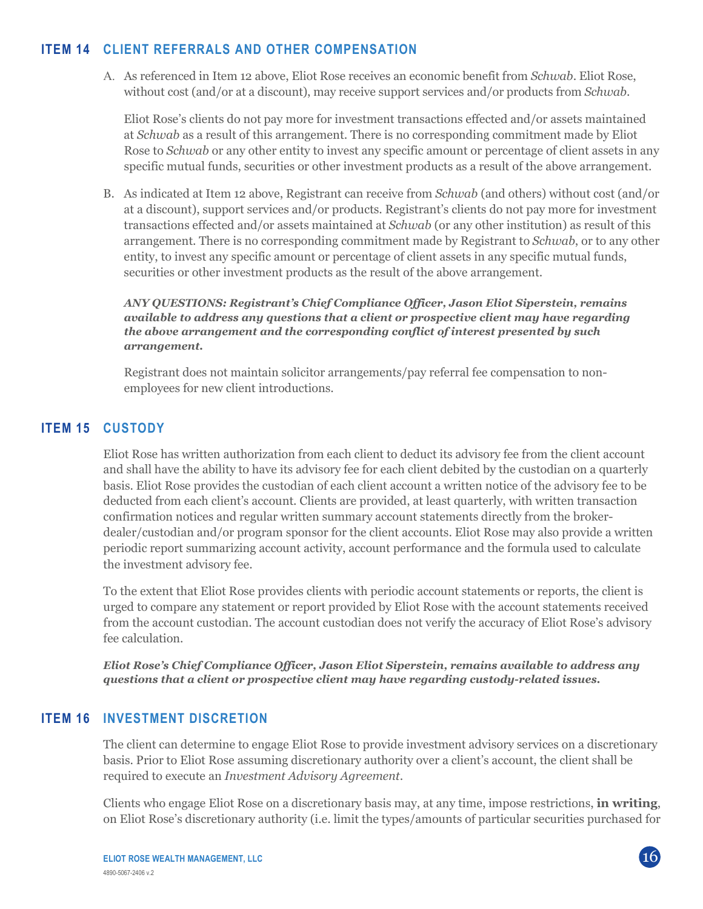## **ITEM 14 CLIENT REFERRALS AND OTHER COMPENSATION**

A. As referenced in Item 12 above, Eliot Rose receives an economic benefit from *Schwab*. Eliot Rose, without cost (and/or at a discount), may receive support services and/or products from *Schwab*.

Eliot Rose's clients do not pay more for investment transactions effected and/or assets maintained at *Schwab* as a result of this arrangement. There is no corresponding commitment made by Eliot Rose to *Schwab* or any other entity to invest any specific amount or percentage of client assets in any specific mutual funds, securities or other investment products as a result of the above arrangement.

B. As indicated at Item 12 above, Registrant can receive from *Schwab* (and others) without cost (and/or at a discount), support services and/or products. Registrant's clients do not pay more for investment transactions effected and/or assets maintained at *Schwab* (or any other institution) as result of this arrangement. There is no corresponding commitment made by Registrant to *Schwab*, or to any other entity, to invest any specific amount or percentage of client assets in any specific mutual funds, securities or other investment products as the result of the above arrangement.

*ANY QUESTIONS: Registrant's Chief Compliance Officer, Jason Eliot Siperstein, remains available to address any questions that a client or prospective client may have regarding the above arrangement and the corresponding conflict of interest presented by such arrangement.*

Registrant does not maintain solicitor arrangements/pay referral fee compensation to nonemployees for new client introductions.

# **ITEM 15 CUSTODY**

Eliot Rose has written authorization from each client to deduct its advisory fee from the client account and shall have the ability to have its advisory fee for each client debited by the custodian on a quarterly basis. Eliot Rose provides the custodian of each client account a written notice of the advisory fee to be deducted from each client's account. Clients are provided, at least quarterly, with written transaction confirmation notices and regular written summary account statements directly from the brokerdealer/custodian and/or program sponsor for the client accounts. Eliot Rose may also provide a written periodic report summarizing account activity, account performance and the formula used to calculate the investment advisory fee.

To the extent that Eliot Rose provides clients with periodic account statements or reports, the client is urged to compare any statement or report provided by Eliot Rose with the account statements received from the account custodian. The account custodian does not verify the accuracy of Eliot Rose's advisory fee calculation.

*Eliot Rose's Chief Compliance Officer, Jason Eliot Siperstein, remains available to address any questions that a client or prospective client may have regarding custody-related issues.*

### **ITEM 16 INVESTMENT DISCRETION**

The client can determine to engage Eliot Rose to provide investment advisory services on a discretionary basis. Prior to Eliot Rose assuming discretionary authority over a client's account, the client shall be required to execute an *Investment Advisory Agreement*.

Clients who engage Eliot Rose on a discretionary basis may, at any time, impose restrictions, **in writing**, on Eliot Rose's discretionary authority (i.e. limit the types/amounts of particular securities purchased for